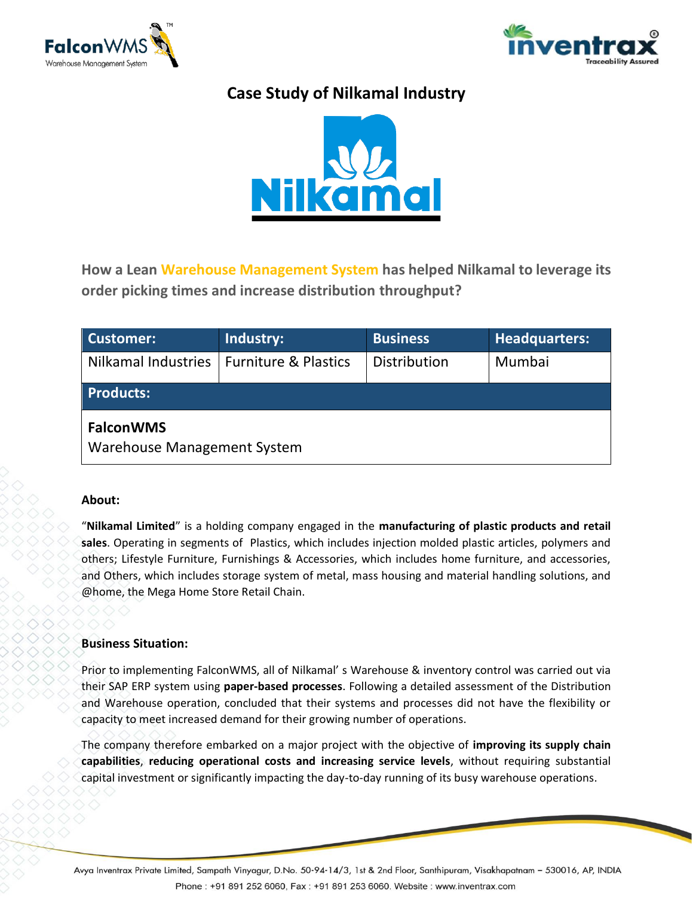



# **Case Study of Nilkamal Industry**



**How a Lean Warehouse Management System has helped Nilkamal to leverage its order picking times and increase distribution throughput?**

| Customer:                                       | Industry:                       | <b>Business</b> | Headquarters: |
|-------------------------------------------------|---------------------------------|-----------------|---------------|
| Nilkamal Industries                             | <b>Furniture &amp; Plastics</b> | Distribution    | Mumbai        |
| <b>Products:</b>                                |                                 |                 |               |
| <b>FalconWMS</b><br>Warehouse Management System |                                 |                 |               |

#### **About:**

"**Nilkamal Limited**" is a holding company engaged in the **manufacturing of plastic products and retail sales**. Operating in segments of Plastics, which includes injection molded plastic articles, polymers and others; Lifestyle Furniture, Furnishings & Accessories, which includes home furniture, and accessories, and Others, which includes storage system of metal, mass housing and material handling solutions, and @home, the Mega Home Store Retail Chain.

#### **Business Situation:**

Prior to implementing FalconWMS, all of Nilkamal' s Warehouse & inventory control was carried out via their SAP ERP system using **paper-based processes**. Following a detailed assessment of the Distribution and Warehouse operation, concluded that their systems and processes did not have the flexibility or capacity to meet increased demand for their growing number of operations.

The company therefore embarked on a major project with the objective of **improving its supply chain capabilities**, **reducing operational costs and increasing service levels**, without requiring substantial capital investment or significantly impacting the day-to-day running of its busy warehouse operations.

Avya Inventrax Private Limited, Sampath Vinyagur, D.No. 50-94-14/3, 1st & 2nd Floor, Santhipuram, Visakhapatnam – 530016, AP, INDIA Phone: +91 891 252 6060, Fax: +91 891 253 6060. Website: www.inventrax.com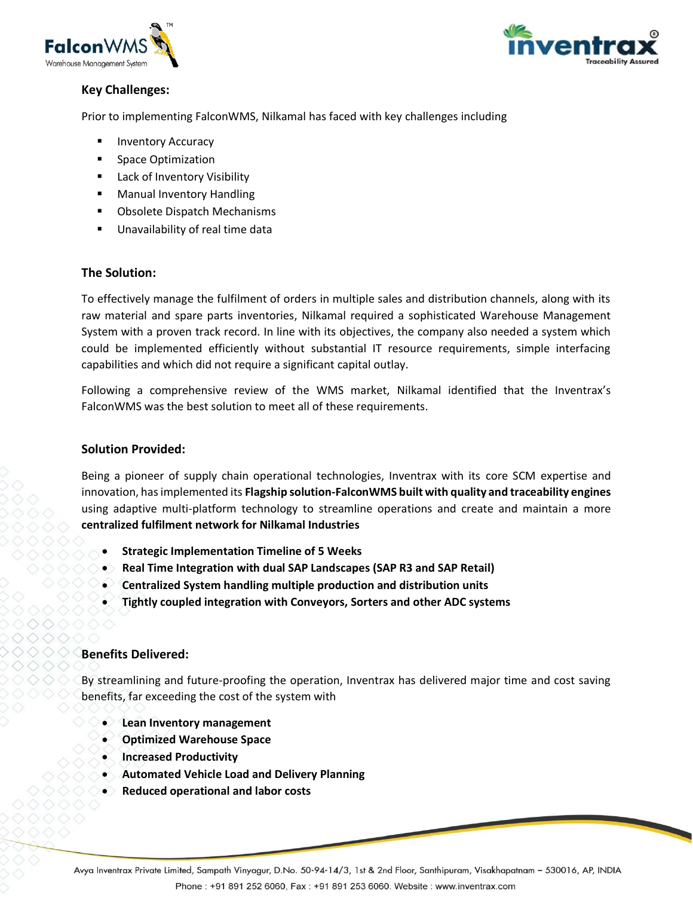



# **Key Challenges:**

Prior to implementing FalconWMS, Nilkamal has faced with key challenges including

- **Inventory Accuracy**
- **Space Optimization**
- Lack of Inventory Visibility
- **Manual Inventory Handling**
- Obsolete Dispatch Mechanisms
- Unavailability of real time data

# **The Solution:**

To effectively manage the fulfilment of orders in multiple sales and distribution channels, along with its raw material and spare parts inventories, Nilkamal required a sophisticated Warehouse Management System with a proven track record. In line with its objectives, the company also needed a system which could be implemented efficiently without substantial IT resource requirements, simple interfacing capabilities and which did not require a significant capital outlay.

Following a comprehensive review of the WMS market, Nilkamal identified that the Inventrax's FalconWMS was the best solution to meet all of these requirements.

#### **Solution Provided:**

Being a pioneer of supply chain operational technologies, Inventrax with its core SCM expertise and innovation, has implemented its **Flagship solution-FalconWMS built with quality and traceability engines** using adaptive multi-platform technology to streamline operations and create and maintain a more **centralized fulfilment network for Nilkamal Industries**

- **Strategic Implementation Timeline of 5 Weeks**
- **Real Time Integration with dual SAP Landscapes (SAP R3 and SAP Retail)**
- **Centralized System handling multiple production and distribution units**
- **Tightly coupled integration with Conveyors, Sorters and other ADC systems**

# **Benefits Delivered:**

By streamlining and future-proofing the operation, Inventrax has delivered major time and cost saving benefits, far exceeding the cost of the system with

- **Lean Inventory management**
- **Optimized Warehouse Space**
- **Increased Productivity**
- **Automated Vehicle Load and Delivery Planning**
- **Reduced operational and labor costs**

Avya Inventrax Private Limited, Sampath Vinyagur, D.No. 50-94-14/3, 1st & 2nd Floor, Santhipuram, Visakhapatnam – 530016, AP, INDIA Phone: +91 891 252 6060, Fax: +91 891 253 6060. Website: www.inventrax.com